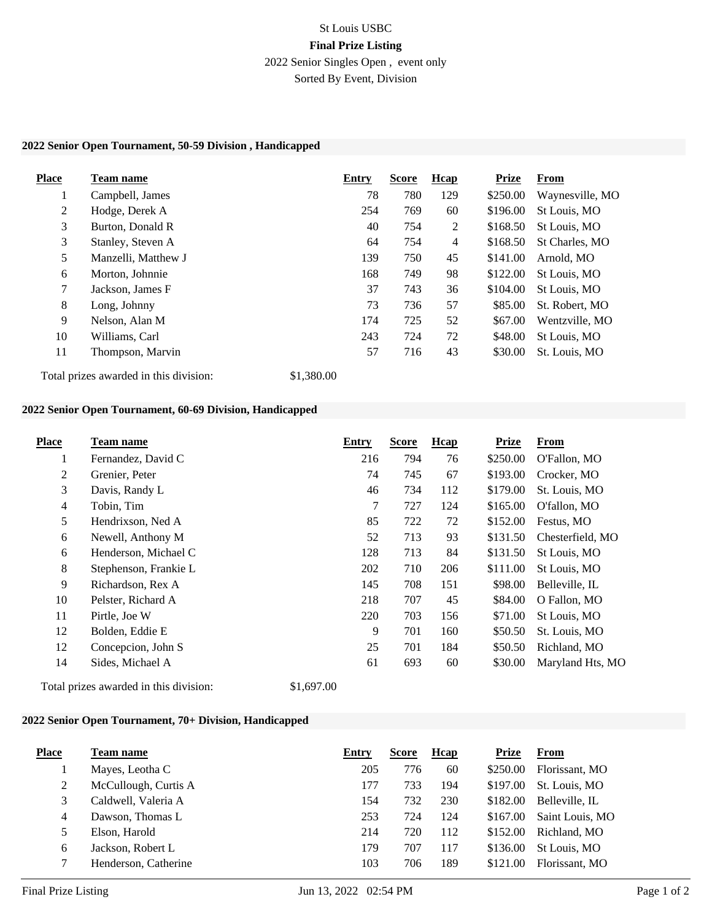# St Louis USBC **Final Prize Listing** 2022 Senior Singles Open , event only

Sorted By Event, Division

### **2022 Senior Open Tournament, 50-59 Division , Handicapped**

| <b>Place</b>                           | <b>Team name</b>    | Entry      | <b>Score</b> | <b>H</b> cap | <b>Prize</b> | From            |
|----------------------------------------|---------------------|------------|--------------|--------------|--------------|-----------------|
| $\bf{1}$                               | Campbell, James     | 78         | 780          | 129          | \$250.00     | Waynesville, MO |
| 2                                      | Hodge, Derek A      | 254        | 769          | 60           | \$196.00     | St Louis, MO    |
| 3                                      | Burton, Donald R    | 40         | 754          | 2            | \$168.50     | St Louis, MO    |
| 3                                      | Stanley, Steven A   | 64         | 754          | 4            | \$168.50     | St Charles, MO  |
| 5                                      | Manzelli, Matthew J | 139        | 750          | 45           | \$141.00     | Arnold, MO      |
| 6                                      | Morton, Johnnie     | 168        | 749          | 98           | \$122.00     | St Louis, MO    |
| 7                                      | Jackson, James F    | 37         | 743          | 36           | \$104.00     | St Louis, MO    |
| 8                                      | Long, Johnny        | 73         | 736          | 57           | \$85.00      | St. Robert, MO  |
| 9                                      | Nelson, Alan M      | 174        | 725          | 52           | \$67.00      | Wentzville, MO  |
| 10                                     | Williams, Carl      | 243        | 724          | 72           | \$48.00      | St Louis, MO    |
| 11                                     | Thompson, Marvin    | 57         | 716          | 43           | \$30.00      | St. Louis, MO   |
| Total prizes awarded in this division: |                     | \$1,380.00 |              |              |              |                 |

### **2022 Senior Open Tournament, 60-69 Division, Handicapped**

| Place | Team name             | <b>Entry</b> | <b>Score</b> | Hcap | <b>Prize</b> | <b>From</b>      |
|-------|-----------------------|--------------|--------------|------|--------------|------------------|
| 1     | Fernandez, David C    | 216          | 794          | 76   | \$250.00     | O'Fallon, MO     |
| 2     | Grenier, Peter        | 74           | 745          | 67   | \$193.00     | Crocker, MO      |
| 3     | Davis, Randy L        | 46           | 734          | 112  | \$179.00     | St. Louis, MO    |
| 4     | Tobin, Tim            | 7            | 727          | 124  | \$165.00     | O'fallon, MO     |
| 5     | Hendrixson, Ned A     | 85           | 722          | 72   | \$152.00     | Festus, MO       |
| 6     | Newell, Anthony M     | 52           | 713          | 93   | \$131.50     | Chesterfield, MO |
| 6     | Henderson, Michael C  | 128          | 713          | 84   | \$131.50     | St Louis, MO     |
| 8     | Stephenson, Frankie L | 202          | 710          | 206  | \$111.00     | St Louis, MO     |
| 9     | Richardson, Rex A     | 145          | 708          | 151  | \$98.00      | Belleville, IL   |
| 10    | Pelster, Richard A    | 218          | 707          | 45   | \$84.00      | O Fallon, MO     |
| 11    | Pirtle, Joe W         | 220          | 703          | 156  | \$71.00      | St Louis, MO     |
| 12    | Bolden, Eddie E       | 9            | 701          | 160  | \$50.50      | St. Louis, MO    |
| 12    | Concepcion, John S    | 25           | 701          | 184  | \$50.50      | Richland, MO     |
| 14    | Sides, Michael A      | 61           | 693          | 60   | \$30.00      | Maryland Hts, MO |

Total prizes awarded in this division: \$1,697.00

### **2022 Senior Open Tournament, 70+ Division, Handicapped**

| <b>Place</b> | Team name            | Entry | <b>Score</b> | Hcap | <b>Prize</b> | From            |
|--------------|----------------------|-------|--------------|------|--------------|-----------------|
|              | Mayes, Leotha C      | 205   | 776          | 60   | \$250.00     | Florissant, MO  |
| 2            | McCullough, Curtis A | 177   | 733          | 194  | \$197.00     | St. Louis, MO   |
|              | Caldwell, Valeria A  | 154   | 732          | 230  | \$182.00     | Belleville, IL  |
| 4            | Dawson, Thomas L     | 253   | 724          | 124  | \$167.00     | Saint Louis, MO |
|              | Elson, Harold        | 214   | 720          | 112  | \$152.00     | Richland, MO    |
| 6            | Jackson, Robert L    | 179   | 707          | 117  | \$136.00     | St Louis, MO    |
|              | Henderson, Catherine | 103   | 706          | 189  | \$121.00     | Florissant, MO  |